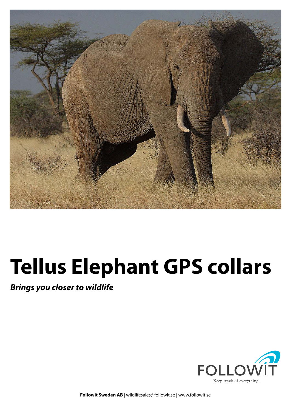

# **Tellus Elephant GPS collars**

**Brings you closer to wildlife**



**Followit Sweden AB** | wildlifesales@followit.se | www.followit.se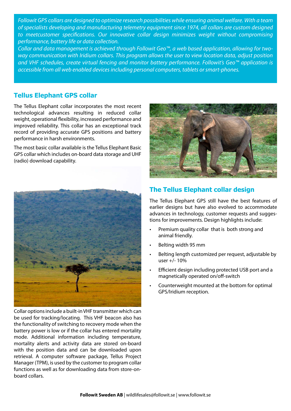Followit GPS collars are designed to optimize research possibilities while ensuring animal welfare. With a team of specialists developing and manufacturing telemetry equipment since 1974, all collars are custom designed to meetcustomer specifications. Our innovative collar design minimizes weight without compromising performance, battery life or data collection.

Collar and data management is achieved through Followit Geo™, a web based application, allowing for twoway communication with Iridium collars. This program allows the user to view location data, adjust position and VHF schedules, create virtual fencing and monitor battery performance. Followit's Geo™ application is accessible from all web enabled devices including personal computers, tablets or smart-phones.

#### **Tellus Elephant GPS collar**

The Tellus Elephant collar incorporates the most recent technological advances resulting in reduced collar weight, operational flexibility, increased performance and improved reliability. This collar has an exceptional track record of providing accurate GPS positions and battery performance in harsh environments.

The most basic collar available is the Tellus Elephant Basic GPS collar which includes on-board data storage and UHF (radio) download capability.



Collar options include a built-in VHF transmitter which can be used for tracking/locating. This VHF beacon also has the functionality of switching to recovery mode when the battery power is low or if the collar has entered mortality mode. Additional information including temperature, mortality alerts and activity data are stored on-board with the position data and can be downloaded upon retrieval. A computer software package, Tellus Project Manager (TPM), is used by the customer to program collar functions as well as for downloading data from store-onboard collars.



#### **The Tellus Elephant collar design**

The Tellus Elephant GPS still have the best features of earlier designs but have also evolved to accommodate advances in technology, customer requests and suggestions for improvements. Design highlights include:

- Premium quality collar that is both strong and animal friendly.
- Belting width 95 mm
- Belting length customized per request, adjustable by user +/- 10%
- Efficient design including protected USB port and a magnetically operated on/off-switch
- Counterweight mounted at the bottom for optimal GPS/Iridium reception.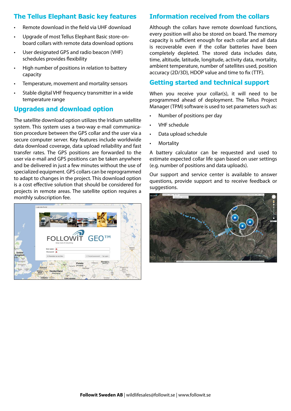## **The Tellus Elephant Basic key features**

- Remote download in the field via UHF download
- Upgrade of most Tellus Elephant Basic store-onboard collars with remote data download options
- • User designated GPS and radio beacon (VHF) schedules provides flexibility
- • High number of positions in relation to battery capacity
- Temperature, movement and mortality sensors
- Stable digital VHF frequency transmitter in a wide temperature range

#### **Upgrades and download option**

The satellite download option utilizes the Iridium satellite system. This system uses a two-way e-mail communication procedure between the GPS collar and the user via a secure computer server. Key features include worldwide data download coverage, data upload reliability and fast transfer rates. The GPS positions are forwarded to the user via e-mail and GPS positions can be taken anywhere and be delivered in just a few minutes without the use of specialized equipment. GPS collars can be reprogrammed to adapt to changes in the project. This download option is a cost effective solution that should be considered for projects in remote areas. The satellite option requires a monthly subscription fee.



# **Information received from the collars**

Although the collars have remote download functions, every position will also be stored on board. The memory capacity is sufficient enough for each collar and all data is recoverable even if the collar batteries have been completely depleted. The stored data includes date, time, altitude, latitude, longitude, activity data, mortality, ambient temperature, number of satellites used, position accuracy (2D/3D), HDOP value and time to fix (TTF).

# **Getting started and technical support**

When you receive your collar(s), it will need to be programmed ahead of deployment. The Tellus Project Manager (TPM) software is used to set parameters such as:

- Number of positions per day
- VHF schedule
- Data upload schedule
- **Mortality**

A battery calculator can be requested and used to estimate expected collar life span based on user settings (e.g. number of positions and data uploads).

Our support and service center is available to answer questions, provide support and to receive feedback or suggestions.